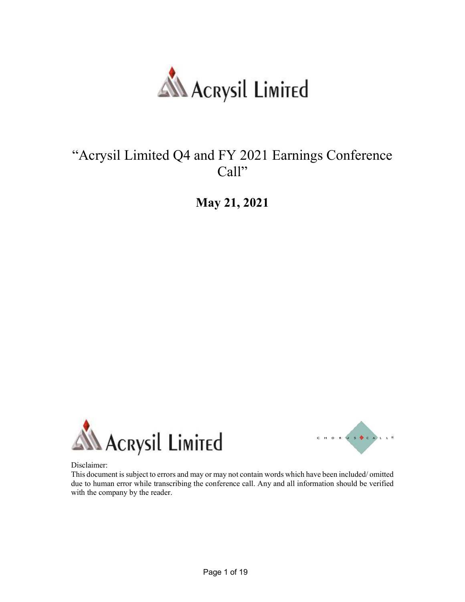

## "Acrysil Limited Q4 and FY 2021 Earnings Conference Call"

May 21, 2021





Disclaimer:

This document is subject to errors and may or may not contain words which have been included/ omitted due to human error while transcribing the conference call. Any and all information should be verified with the company by the reader.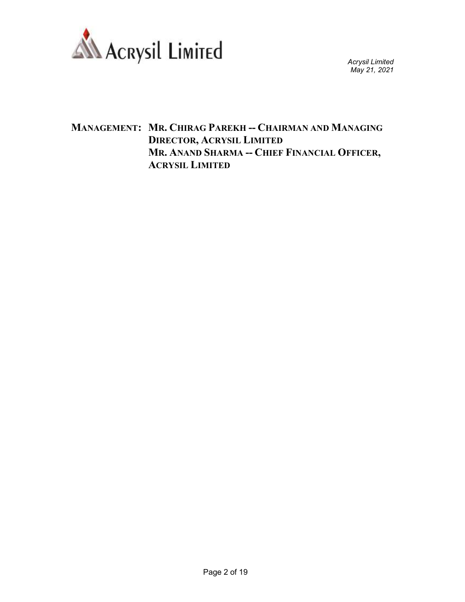

## MANAGEMENT: MR. CHIRAG PAREKH -- CHAIRMAN AND MANAGING DIRECTOR, ACRYSIL LIMITED MR. ANAND SHARMA -- CHIEF FINANCIAL OFFICER, ACRYSIL LIMITED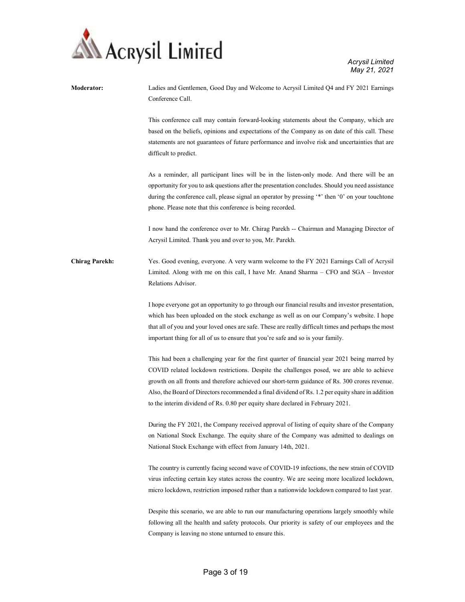

| Moderator:            | Ladies and Gentlemen, Good Day and Welcome to Acrysil Limited Q4 and FY 2021 Earnings<br>Conference Call.                                                                                                                                                                                                                                                                                                                                                                            |
|-----------------------|--------------------------------------------------------------------------------------------------------------------------------------------------------------------------------------------------------------------------------------------------------------------------------------------------------------------------------------------------------------------------------------------------------------------------------------------------------------------------------------|
|                       | This conference call may contain forward-looking statements about the Company, which are<br>based on the beliefs, opinions and expectations of the Company as on date of this call. These<br>statements are not guarantees of future performance and involve risk and uncertainties that are<br>difficult to predict.                                                                                                                                                                |
|                       | As a reminder, all participant lines will be in the listen-only mode. And there will be an<br>opportunity for you to ask questions after the presentation concludes. Should you need assistance<br>during the conference call, please signal an operator by pressing '*' then '0' on your touchtone<br>phone. Please note that this conference is being recorded.                                                                                                                    |
|                       | I now hand the conference over to Mr. Chirag Parekh -- Chairman and Managing Director of<br>Acrysil Limited. Thank you and over to you, Mr. Parekh.                                                                                                                                                                                                                                                                                                                                  |
| <b>Chirag Parekh:</b> | Yes. Good evening, everyone. A very warm welcome to the FY 2021 Earnings Call of Acrysil<br>Limited. Along with me on this call, I have Mr. Anand Sharma – CFO and SGA – Investor<br>Relations Advisor.                                                                                                                                                                                                                                                                              |
|                       | I hope everyone got an opportunity to go through our financial results and investor presentation,<br>which has been uploaded on the stock exchange as well as on our Company's website. I hope<br>that all of you and your loved ones are safe. These are really difficult times and perhaps the most<br>important thing for all of us to ensure that you're safe and so is your family.                                                                                             |
|                       | This had been a challenging year for the first quarter of financial year 2021 being marred by<br>COVID related lockdown restrictions. Despite the challenges posed, we are able to achieve<br>growth on all fronts and therefore achieved our short-term guidance of Rs. 300 crores revenue.<br>Also, the Board of Directors recommended a final dividend of Rs. 1.2 per equity share in addition<br>to the interim dividend of Rs. 0.80 per equity share declared in February 2021. |
|                       | During the FY 2021, the Company received approval of listing of equity share of the Company<br>on National Stock Exchange. The equity share of the Company was admitted to dealings on<br>National Stock Exchange with effect from January 14th, 2021.                                                                                                                                                                                                                               |
|                       | The country is currently facing second wave of COVID-19 infections, the new strain of COVID<br>virus infecting certain key states across the country. We are seeing more localized lockdown,<br>micro lockdown, restriction imposed rather than a nationwide lockdown compared to last year.                                                                                                                                                                                         |
|                       | Despite this scenario, we are able to run our manufacturing operations largely smoothly while<br>following all the health and safety protocols. Our priority is safety of our employees and the<br>Company is leaving no stone unturned to ensure this.                                                                                                                                                                                                                              |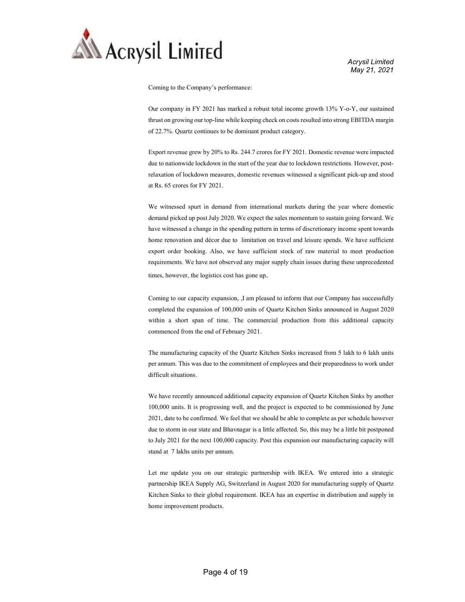

Coming to the Company's performance:

Our company in FY 2021 has marked a robust total income growth 13% Y-o-Y, our sustained thrust on growing our top-line while keeping check on costs resulted into strong EBITDA margin of 22.7%. Quartz continues to be dominant product category.

Export revenue grew by 20% to Rs. 244.7 crores for FY 2021. Domestic revenue were impacted due to nationwide lockdown in the start of the year due to lockdown restrictions. However, postrelaxation of lockdown measures, domestic revenues witnessed a significant pick-up and stood at Rs. 65 crores for FY 2021.

We witnessed spurt in demand from international markets during the year where domestic demand picked up post July 2020. We expect the sales momentum to sustain going forward. We have witnessed a change in the spending pattern in terms of discretionary income spent towards home renovation and décor due to limitation on travel and leisure spends. We have sufficient export order booking. Also, we have sufficient stock of raw material to meet production requirements. We have not observed any major supply chain issues during these unprecedented times, however, the logistics cost has gone up.

Coming to our capacity expansion, ,I am pleased to inform that our Company has successfully completed the expansion of 100,000 units of Quartz Kitchen Sinks announced in August 2020 within a short span of time. The commercial production from this additional capacity commenced from the end of February 2021.

The manufacturing capacity of the Quartz Kitchen Sinks increased from 5 lakh to 6 lakh units per annum. This was due to the commitment of employees and their preparedness to work under difficult situations.

We have recently announced additional capacity expansion of Quartz Kitchen Sinks by another 100,000 units. It is progressing well, and the project is expected to be commissioned by June 2021, date to be confirmed. We feel that we should be able to complete as per schedule however due to storm in our state and Bhavnagar is a little affected. So, this may be a little bit postponed to July 2021 for the next 100,000 capacity. Post this expansion our manufacturing capacity will stand at 7 lakhs units per annum.

Let me update you on our strategic partnership with IKEA. We entered into a strategic partnership IKEA Supply AG, Switzerland in August 2020 for manufacturing supply of Quartz Kitchen Sinks to their global requirement. IKEA has an expertise in distribution and supply in home improvement products.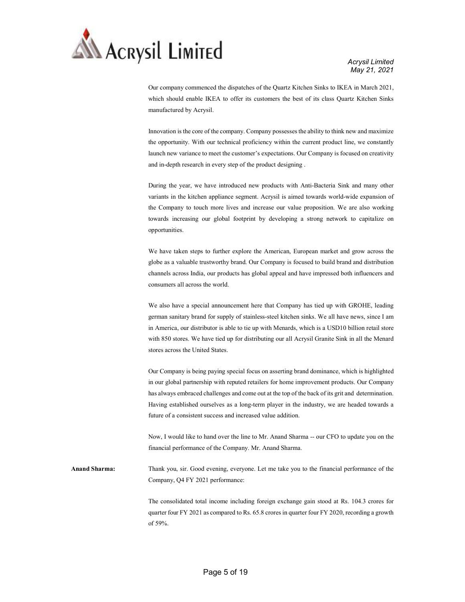

Our company commenced the dispatches of the Quartz Kitchen Sinks to IKEA in March 2021, which should enable IKEA to offer its customers the best of its class Quartz Kitchen Sinks manufactured by Acrysil.

Innovation is the core of the company. Company possesses the ability to think new and maximize the opportunity. With our technical proficiency within the current product line, we constantly launch new variance to meet the customer's expectations. Our Company is focused on creativity and in-depth research in every step of the product designing .

During the year, we have introduced new products with Anti-Bacteria Sink and many other variants in the kitchen appliance segment. Acrysil is aimed towards world-wide expansion of the Company to touch more lives and increase our value proposition. We are also working towards increasing our global footprint by developing a strong network to capitalize on opportunities.

We have taken steps to further explore the American, European market and grow across the globe as a valuable trustworthy brand. Our Company is focused to build brand and distribution channels across India, our products has global appeal and have impressed both influencers and consumers all across the world.

We also have a special announcement here that Company has tied up with GROHE, leading german sanitary brand for supply of stainless-steel kitchen sinks. We all have news, since I am in America, our distributor is able to tie up with Menards, which is a USD10 billion retail store with 850 stores. We have tied up for distributing our all Acrysil Granite Sink in all the Menard stores across the United States.

Our Company is being paying special focus on asserting brand dominance, which is highlighted in our global partnership with reputed retailers for home improvement products. Our Company has always embraced challenges and come out at the top of the back of its grit and determination. Having established ourselves as a long-term player in the industry, we are headed towards a future of a consistent success and increased value addition.

Now, I would like to hand over the line to Mr. Anand Sharma -- our CFO to update you on the financial performance of the Company. Mr. Anand Sharma.

Anand Sharma: Thank you, sir. Good evening, everyone. Let me take you to the financial performance of the Company, Q4 FY 2021 performance:

> The consolidated total income including foreign exchange gain stood at Rs. 104.3 crores for quarter four FY 2021 as compared to Rs. 65.8 crores in quarter four FY 2020, recording a growth of 59%.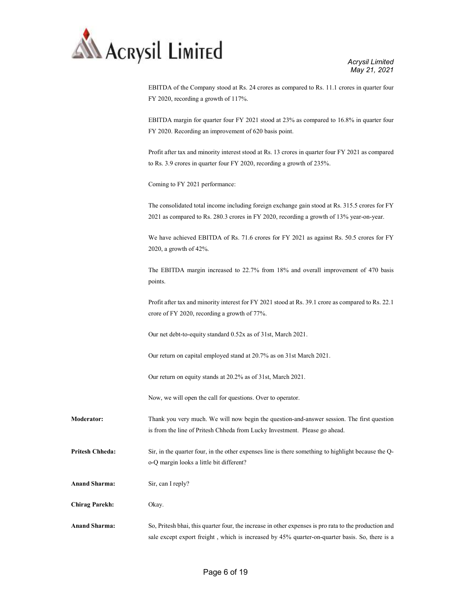

EBITDA of the Company stood at Rs. 24 crores as compared to Rs. 11.1 crores in quarter four FY 2020, recording a growth of 117%.

EBITDA margin for quarter four FY 2021 stood at 23% as compared to 16.8% in quarter four FY 2020. Recording an improvement of 620 basis point.

Profit after tax and minority interest stood at Rs. 13 crores in quarter four FY 2021 as compared to Rs. 3.9 crores in quarter four FY 2020, recording a growth of 235%.

Coming to FY 2021 performance:

The consolidated total income including foreign exchange gain stood at Rs. 315.5 crores for FY 2021 as compared to Rs. 280.3 crores in FY 2020, recording a growth of 13% year-on-year.

We have achieved EBITDA of Rs. 71.6 crores for FY 2021 as against Rs. 50.5 crores for FY 2020, a growth of 42%.

The EBITDA margin increased to 22.7% from 18% and overall improvement of 470 basis points.

Profit after tax and minority interest for FY 2021 stood at Rs. 39.1 crore as compared to Rs. 22.1 crore of FY 2020, recording a growth of 77%.

Our net debt-to-equity standard 0.52x as of 31st, March 2021.

Our return on capital employed stand at 20.7% as on 31st March 2021.

Our return on equity stands at 20.2% as of 31st, March 2021.

Now, we will open the call for questions. Over to operator.

Moderator: Thank you very much. We will now begin the question-and-answer session. The first question is from the line of Pritesh Chheda from Lucky Investment. Please go ahead.

Pritesh Chheda: Sir, in the quarter four, in the other expenses line is there something to highlight because the Qo-Q margin looks a little bit different?

Anand Sharma: Sir, can I reply?

Chirag Parekh: Okay.

Anand Sharma: So, Pritesh bhai, this quarter four, the increase in other expenses is pro rata to the production and sale except export freight , which is increased by 45% quarter-on-quarter basis. So, there is a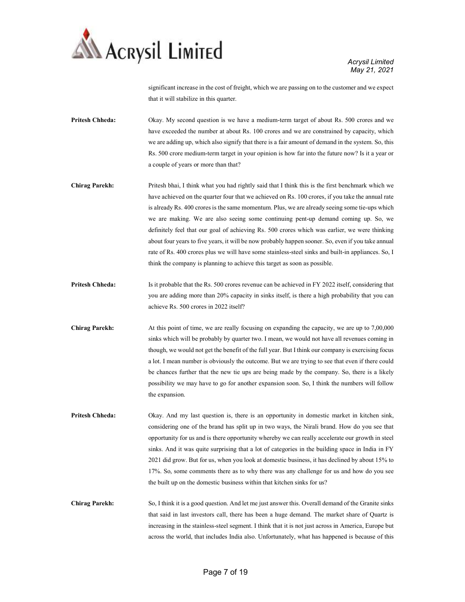

significant increase in the cost of freight, which we are passing on to the customer and we expect that it will stabilize in this quarter.

Pritesh Chheda: Okay. My second question is we have a medium-term target of about Rs. 500 crores and we have exceeded the number at about Rs. 100 crores and we are constrained by capacity, which we are adding up, which also signify that there is a fair amount of demand in the system. So, this Rs. 500 crore medium-term target in your opinion is how far into the future now? Is it a year or a couple of years or more than that?

Chirag Parekh: Pritesh bhai, I think what you had rightly said that I think this is the first benchmark which we have achieved on the quarter four that we achieved on Rs. 100 crores, if you take the annual rate is already Rs. 400 crores is the same momentum. Plus, we are already seeing some tie-ups which we are making. We are also seeing some continuing pent-up demand coming up. So, we definitely feel that our goal of achieving Rs. 500 crores which was earlier, we were thinking about four years to five years, it will be now probably happen sooner. So, even if you take annual rate of Rs. 400 crores plus we will have some stainless-steel sinks and built-in appliances. So, I think the company is planning to achieve this target as soon as possible.

Pritesh Chheda: Is it probable that the Rs. 500 crores revenue can be achieved in FY 2022 itself, considering that you are adding more than 20% capacity in sinks itself, is there a high probability that you can achieve Rs. 500 crores in 2022 itself?

Chirag Parekh: At this point of time, we are really focusing on expanding the capacity, we are up to 7,00,000 sinks which will be probably by quarter two. I mean, we would not have all revenues coming in though, we would not get the benefit of the full year. But I think our company is exercising focus a lot. I mean number is obviously the outcome. But we are trying to see that even if there could be chances further that the new tie ups are being made by the company. So, there is a likely possibility we may have to go for another expansion soon. So, I think the numbers will follow the expansion.

Pritesh Chheda: Okay. And my last question is, there is an opportunity in domestic market in kitchen sink, considering one of the brand has split up in two ways, the Nirali brand. How do you see that opportunity for us and is there opportunity whereby we can really accelerate our growth in steel sinks. And it was quite surprising that a lot of categories in the building space in India in FY 2021 did grow. But for us, when you look at domestic business, it has declined by about 15% to 17%. So, some comments there as to why there was any challenge for us and how do you see the built up on the domestic business within that kitchen sinks for us?

Chirag Parekh: So, I think it is a good question. And let me just answer this. Overall demand of the Granite sinks that said in last investors call, there has been a huge demand. The market share of Quartz is increasing in the stainless-steel segment. I think that it is not just across in America, Europe but across the world, that includes India also. Unfortunately, what has happened is because of this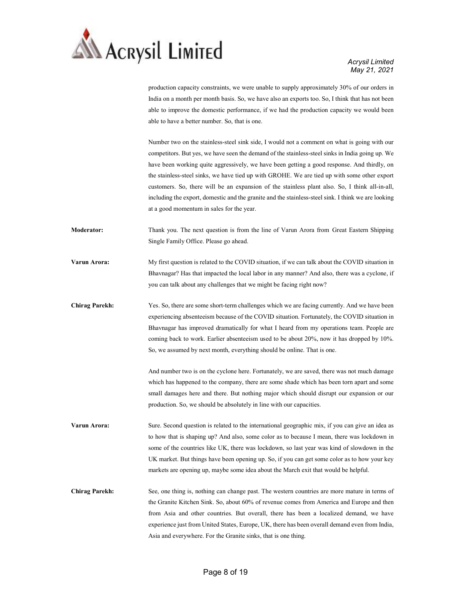

production capacity constraints, we were unable to supply approximately 30% of our orders in India on a month per month basis. So, we have also an exports too. So, I think that has not been able to improve the domestic performance, if we had the production capacity we would been able to have a better number. So, that is one.

Number two on the stainless-steel sink side, I would not a comment on what is going with our competitors. But yes, we have seen the demand of the stainless-steel sinks in India going up. We have been working quite aggressively, we have been getting a good response. And thirdly, on the stainless-steel sinks, we have tied up with GROHE. We are tied up with some other export customers. So, there will be an expansion of the stainless plant also. So, I think all-in-all, including the export, domestic and the granite and the stainless-steel sink. I think we are looking at a good momentum in sales for the year.

- Moderator: Thank you. The next question is from the line of Varun Arora from Great Eastern Shipping Single Family Office. Please go ahead.
- Varun Arora: My first question is related to the COVID situation, if we can talk about the COVID situation in Bhavnagar? Has that impacted the local labor in any manner? And also, there was a cyclone, if you can talk about any challenges that we might be facing right now?
- Chirag Parekh: Yes. So, there are some short-term challenges which we are facing currently. And we have been experiencing absenteeism because of the COVID situation. Fortunately, the COVID situation in Bhavnagar has improved dramatically for what I heard from my operations team. People are coming back to work. Earlier absenteeism used to be about 20%, now it has dropped by 10%. So, we assumed by next month, everything should be online. That is one.

And number two is on the cyclone here. Fortunately, we are saved, there was not much damage which has happened to the company, there are some shade which has been torn apart and some small damages here and there. But nothing major which should disrupt our expansion or our production. So, we should be absolutely in line with our capacities.

Varun Arora: Sure. Second question is related to the international geographic mix, if you can give an idea as to how that is shaping up? And also, some color as to because I mean, there was lockdown in some of the countries like UK, there was lockdown, so last year was kind of slowdown in the UK market. But things have been opening up. So, if you can get some color as to how your key markets are opening up, maybe some idea about the March exit that would be helpful.

Chirag Parekh: See, one thing is, nothing can change past. The western countries are more mature in terms of the Granite Kitchen Sink. So, about 60% of revenue comes from America and Europe and then from Asia and other countries. But overall, there has been a localized demand, we have experience just from United States, Europe, UK, there has been overall demand even from India, Asia and everywhere. For the Granite sinks, that is one thing.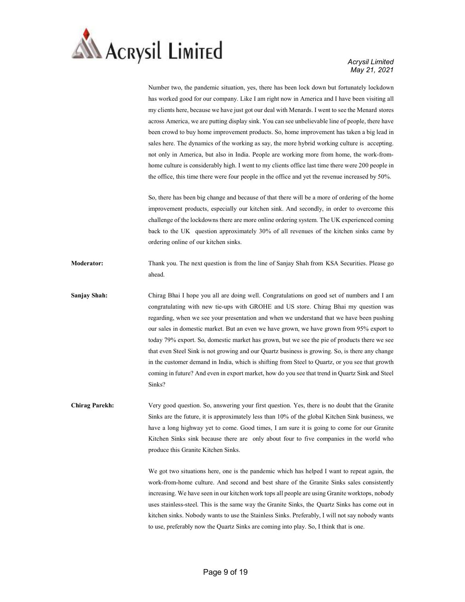

Number two, the pandemic situation, yes, there has been lock down but fortunately lockdown has worked good for our company. Like I am right now in America and I have been visiting all my clients here, because we have just got our deal with Menards. I went to see the Menard stores across America, we are putting display sink. You can see unbelievable line of people, there have been crowd to buy home improvement products. So, home improvement has taken a big lead in sales here. The dynamics of the working as say, the more hybrid working culture is accepting. not only in America, but also in India. People are working more from home, the work-fromhome culture is considerably high. I went to my clients office last time there were 200 people in the office, this time there were four people in the office and yet the revenue increased by 50%.

So, there has been big change and because of that there will be a more of ordering of the home improvement products, especially our kitchen sink. And secondly, in order to overcome this challenge of the lockdowns there are more online ordering system. The UK experienced coming back to the UK question approximately 30% of all revenues of the kitchen sinks came by ordering online of our kitchen sinks.

Moderator: Thank you. The next question is from the line of Sanjay Shah from KSA Securities. Please go ahead.

Sanjay Shah: Chirag Bhai I hope you all are doing well. Congratulations on good set of numbers and I am congratulating with new tie-ups with GROHE and US store. Chirag Bhai my question was regarding, when we see your presentation and when we understand that we have been pushing our sales in domestic market. But an even we have grown, we have grown from 95% export to today 79% export. So, domestic market has grown, but we see the pie of products there we see that even Steel Sink is not growing and our Quartz business is growing. So, is there any change in the customer demand in India, which is shifting from Steel to Quartz, or you see that growth coming in future? And even in export market, how do you see that trend in Quartz Sink and Steel Sinks?

Chirag Parekh: Very good question. So, answering your first question. Yes, there is no doubt that the Granite Sinks are the future, it is approximately less than 10% of the global Kitchen Sink business, we have a long highway yet to come. Good times, I am sure it is going to come for our Granite Kitchen Sinks sink because there are only about four to five companies in the world who produce this Granite Kitchen Sinks.

> We got two situations here, one is the pandemic which has helped I want to repeat again, the work-from-home culture. And second and best share of the Granite Sinks sales consistently increasing. We have seen in our kitchen work tops all people are using Granite worktops, nobody uses stainless-steel. This is the same way the Granite Sinks, the Quartz Sinks has come out in kitchen sinks. Nobody wants to use the Stainless Sinks. Preferably, I will not say nobody wants to use, preferably now the Quartz Sinks are coming into play. So, I think that is one.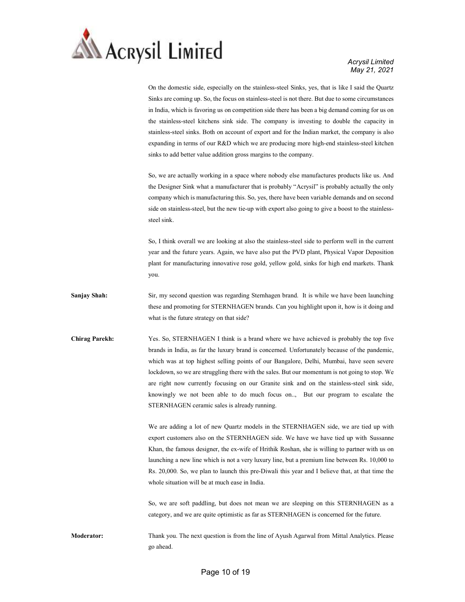

On the domestic side, especially on the stainless-steel Sinks, yes, that is like I said the Quartz Sinks are coming up. So, the focus on stainless-steel is not there. But due to some circumstances in India, which is favoring us on competition side there has been a big demand coming for us on the stainless-steel kitchens sink side. The company is investing to double the capacity in stainless-steel sinks. Both on account of export and for the Indian market, the company is also expanding in terms of our R&D which we are producing more high-end stainless-steel kitchen sinks to add better value addition gross margins to the company.

So, we are actually working in a space where nobody else manufactures products like us. And the Designer Sink what a manufacturer that is probably "Acrysil" is probably actually the only company which is manufacturing this. So, yes, there have been variable demands and on second side on stainless-steel, but the new tie-up with export also going to give a boost to the stainlesssteel sink.

So, I think overall we are looking at also the stainless-steel side to perform well in the current year and the future years. Again, we have also put the PVD plant, Physical Vapor Deposition plant for manufacturing innovative rose gold, yellow gold, sinks for high end markets. Thank you.

- Sanjay Shah: Sir, my second question was regarding Sternhagen brand. It is while we have been launching these and promoting for STERNHAGEN brands. Can you highlight upon it, how is it doing and what is the future strategy on that side?
- Chirag Parekh: Yes. So, STERNHAGEN I think is a brand where we have achieved is probably the top five brands in India, as far the luxury brand is concerned. Unfortunately because of the pandemic, which was at top highest selling points of our Bangalore, Delhi, Mumbai, have seen severe lockdown, so we are struggling there with the sales. But our momentum is not going to stop. We are right now currently focusing on our Granite sink and on the stainless-steel sink side, knowingly we not been able to do much focus on.., But our program to escalate the STERNHAGEN ceramic sales is already running.

We are adding a lot of new Quartz models in the STERNHAGEN side, we are tied up with export customers also on the STERNHAGEN side. We have we have tied up with Sussanne Khan, the famous designer, the ex-wife of Hrithik Roshan, she is willing to partner with us on launching a new line which is not a very luxury line, but a premium line between Rs. 10,000 to Rs. 20,000. So, we plan to launch this pre-Diwali this year and I believe that, at that time the whole situation will be at much ease in India.

So, we are soft paddling, but does not mean we are sleeping on this STERNHAGEN as a category, and we are quite optimistic as far as STERNHAGEN is concerned for the future.

Moderator: Thank you. The next question is from the line of Ayush Agarwal from Mittal Analytics. Please go ahead.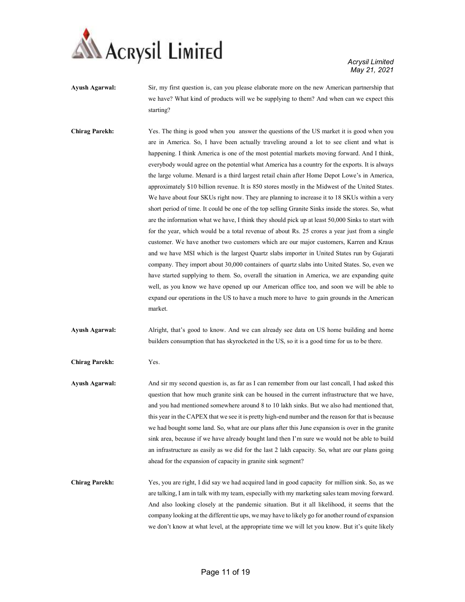

- Ayush Agarwal: Sir, my first question is, can you please elaborate more on the new American partnership that we have? What kind of products will we be supplying to them? And when can we expect this starting?
- Chirag Parekh: Yes. The thing is good when you answer the questions of the US market it is good when you are in America. So, I have been actually traveling around a lot to see client and what is happening. I think America is one of the most potential markets moving forward. And I think, everybody would agree on the potential what America has a country for the exports. It is always the large volume. Menard is a third largest retail chain after Home Depot Lowe's in America, approximately \$10 billion revenue. It is 850 stores mostly in the Midwest of the United States. We have about four SKUs right now. They are planning to increase it to 18 SKUs within a very short period of time. It could be one of the top selling Granite Sinks inside the stores. So, what are the information what we have, I think they should pick up at least 50,000 Sinks to start with for the year, which would be a total revenue of about Rs. 25 crores a year just from a single customer. We have another two customers which are our major customers, Karren and Kraus and we have MSI which is the largest Quartz slabs importer in United States run by Gujarati company. They import about 30,000 containers of quartz slabs into United States. So, even we have started supplying to them. So, overall the situation in America, we are expanding quite well, as you know we have opened up our American office too, and soon we will be able to expand our operations in the US to have a much more to have to gain grounds in the American market.
- Ayush Agarwal: Alright, that's good to know. And we can already see data on US home building and home builders consumption that has skyrocketed in the US, so it is a good time for us to be there.

Chirag Parekh: Yes.

- Ayush Agarwal: And sir my second question is, as far as I can remember from our last concall, I had asked this question that how much granite sink can be housed in the current infrastructure that we have, and you had mentioned somewhere around 8 to 10 lakh sinks. But we also had mentioned that, this year in the CAPEX that we see it is pretty high-end number and the reason for that is because we had bought some land. So, what are our plans after this June expansion is over in the granite sink area, because if we have already bought land then I'm sure we would not be able to build an infrastructure as easily as we did for the last 2 lakh capacity. So, what are our plans going ahead for the expansion of capacity in granite sink segment?
- Chirag Parekh: Yes, you are right, I did say we had acquired land in good capacity for million sink. So, as we are talking, I am in talk with my team, especially with my marketing sales team moving forward. And also looking closely at the pandemic situation. But it all likelihood, it seems that the company looking at the different tie ups, we may have to likely go for another round of expansion we don't know at what level, at the appropriate time we will let you know. But it's quite likely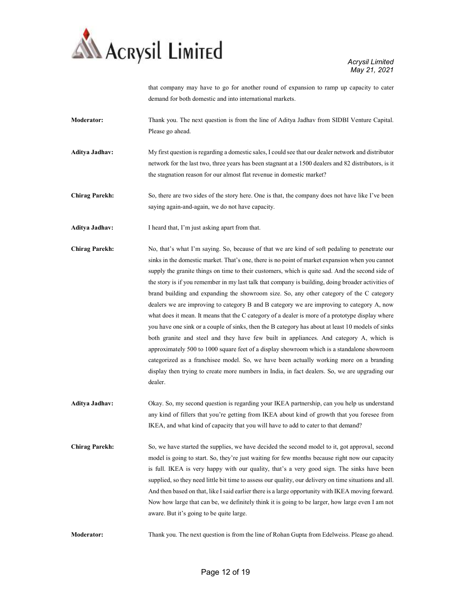

that company may have to go for another round of expansion to ramp up capacity to cater demand for both domestic and into international markets.

Moderator: Thank you. The next question is from the line of Aditya Jadhav from SIDBI Venture Capital. Please go ahead.

- Aditya Jadhav: My first question is regarding a domestic sales, I could see that our dealer network and distributor network for the last two, three years has been stagnant at a 1500 dealers and 82 distributors, is it the stagnation reason for our almost flat revenue in domestic market?
- Chirag Parekh: So, there are two sides of the story here. One is that, the company does not have like I've been saying again-and-again, we do not have capacity.
- Aditya Jadhav: I heard that, I'm just asking apart from that.
- Chirag Parekh: No, that's what I'm saying. So, because of that we are kind of soft pedaling to penetrate our sinks in the domestic market. That's one, there is no point of market expansion when you cannot supply the granite things on time to their customers, which is quite sad. And the second side of the story is if you remember in my last talk that company is building, doing broader activities of brand building and expanding the showroom size. So, any other category of the C category dealers we are improving to category B and B category we are improving to category A, now what does it mean. It means that the C category of a dealer is more of a prototype display where you have one sink or a couple of sinks, then the B category has about at least 10 models of sinks both granite and steel and they have few built in appliances. And category A, which is approximately 500 to 1000 square feet of a display showroom which is a standalone showroom categorized as a franchisee model. So, we have been actually working more on a branding display then trying to create more numbers in India, in fact dealers. So, we are upgrading our dealer.
- Aditya Jadhav: Okay. So, my second question is regarding your IKEA partnership, can you help us understand any kind of fillers that you're getting from IKEA about kind of growth that you foresee from IKEA, and what kind of capacity that you will have to add to cater to that demand?
- Chirag Parekh: So, we have started the supplies, we have decided the second model to it, got approval, second model is going to start. So, they're just waiting for few months because right now our capacity is full. IKEA is very happy with our quality, that's a very good sign. The sinks have been supplied, so they need little bit time to assess our quality, our delivery on time situations and all. And then based on that, like I said earlier there is a large opportunity with IKEA moving forward. Now how large that can be, we definitely think it is going to be larger, how large even I am not aware. But it's going to be quite large.

Moderator: Thank you. The next question is from the line of Rohan Gupta from Edelweiss. Please go ahead.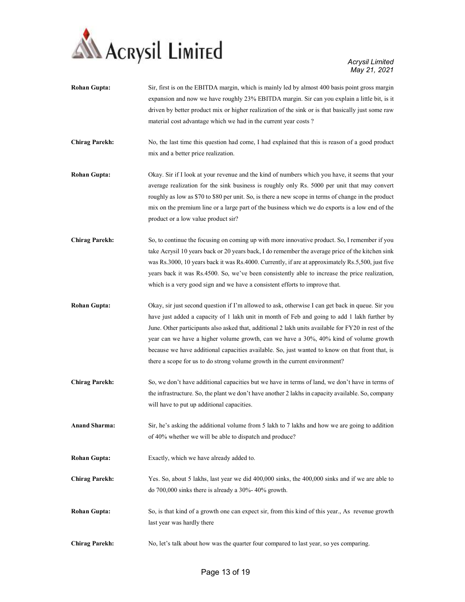

| <b>Rohan Gupta:</b>   | Sir, first is on the EBITDA margin, which is mainly led by almost 400 basis point gross margin<br>expansion and now we have roughly 23% EBITDA margin. Sir can you explain a little bit, is it<br>driven by better product mix or higher realization of the sink or is that basically just some raw<br>material cost advantage which we had in the current year costs?                                                                                                                                                                                                             |
|-----------------------|------------------------------------------------------------------------------------------------------------------------------------------------------------------------------------------------------------------------------------------------------------------------------------------------------------------------------------------------------------------------------------------------------------------------------------------------------------------------------------------------------------------------------------------------------------------------------------|
| <b>Chirag Parekh:</b> | No, the last time this question had come, I had explained that this is reason of a good product<br>mix and a better price realization.                                                                                                                                                                                                                                                                                                                                                                                                                                             |
| <b>Rohan Gupta:</b>   | Okay. Sir if I look at your revenue and the kind of numbers which you have, it seems that your<br>average realization for the sink business is roughly only Rs. 5000 per unit that may convert<br>roughly as low as \$70 to \$80 per unit. So, is there a new scope in terms of change in the product<br>mix on the premium line or a large part of the business which we do exports is a low end of the<br>product or a low value product sir?                                                                                                                                    |
| <b>Chirag Parekh:</b> | So, to continue the focusing on coming up with more innovative product. So, I remember if you<br>take Acrysil 10 years back or 20 years back, I do remember the average price of the kitchen sink<br>was Rs.3000, 10 years back it was Rs.4000. Currently, if are at approximately Rs.5,500, just five<br>years back it was Rs.4500. So, we've been consistently able to increase the price realization,<br>which is a very good sign and we have a consistent efforts to improve that.                                                                                            |
| <b>Rohan Gupta:</b>   | Okay, sir just second question if I'm allowed to ask, otherwise I can get back in queue. Sir you<br>have just added a capacity of 1 lakh unit in month of Feb and going to add 1 lakh further by<br>June. Other participants also asked that, additional 2 lakh units available for FY20 in rest of the<br>year can we have a higher volume growth, can we have a 30%, 40% kind of volume growth<br>because we have additional capacities available. So, just wanted to know on that front that, is<br>there a scope for us to do strong volume growth in the current environment? |
| <b>Chirag Parekh:</b> | So, we don't have additional capacities but we have in terms of land, we don't have in terms of<br>the infrastructure. So, the plant we don't have another 2 lakhs in capacity available. So, company<br>will have to put up additional capacities.                                                                                                                                                                                                                                                                                                                                |
| <b>Anand Sharma:</b>  | Sir, he's asking the additional volume from 5 lakh to 7 lakhs and how we are going to addition<br>of 40% whether we will be able to dispatch and produce?                                                                                                                                                                                                                                                                                                                                                                                                                          |
| <b>Rohan Gupta:</b>   | Exactly, which we have already added to.                                                                                                                                                                                                                                                                                                                                                                                                                                                                                                                                           |
| <b>Chirag Parekh:</b> | Yes. So, about 5 lakhs, last year we did 400,000 sinks, the 400,000 sinks and if we are able to<br>do $700,000$ sinks there is already a $30\%$ -40% growth.                                                                                                                                                                                                                                                                                                                                                                                                                       |
| <b>Rohan Gupta:</b>   | So, is that kind of a growth one can expect sir, from this kind of this year., As revenue growth<br>last year was hardly there                                                                                                                                                                                                                                                                                                                                                                                                                                                     |
| <b>Chirag Parekh:</b> | No, let's talk about how was the quarter four compared to last year, so yes comparing.                                                                                                                                                                                                                                                                                                                                                                                                                                                                                             |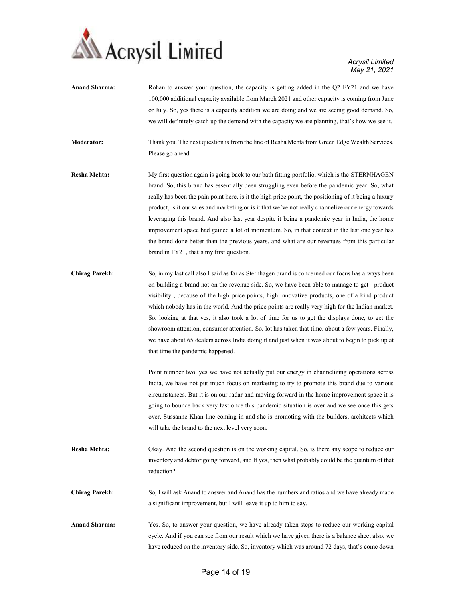

| <b>Anand Sharma:</b>  | Rohan to answer your question, the capacity is getting added in the Q2 FY21 and we have<br>100,000 additional capacity available from March 2021 and other capacity is coming from June<br>or July. So, yes there is a capacity addition we are doing and we are seeing good demand. So,<br>we will definitely catch up the demand with the capacity we are planning, that's how we see it.                                                                                                                                                                                                                                                                                                                                                                 |
|-----------------------|-------------------------------------------------------------------------------------------------------------------------------------------------------------------------------------------------------------------------------------------------------------------------------------------------------------------------------------------------------------------------------------------------------------------------------------------------------------------------------------------------------------------------------------------------------------------------------------------------------------------------------------------------------------------------------------------------------------------------------------------------------------|
| <b>Moderator:</b>     | Thank you. The next question is from the line of Resha Mehta from Green Edge Wealth Services.<br>Please go ahead.                                                                                                                                                                                                                                                                                                                                                                                                                                                                                                                                                                                                                                           |
| <b>Resha Mehta:</b>   | My first question again is going back to our bath fitting portfolio, which is the STERNHAGEN<br>brand. So, this brand has essentially been struggling even before the pandemic year. So, what<br>really has been the pain point here, is it the high price point, the positioning of it being a luxury<br>product, is it our sales and marketing or is it that we've not really channelize our energy towards<br>leveraging this brand. And also last year despite it being a pandemic year in India, the home<br>improvement space had gained a lot of momentum. So, in that context in the last one year has<br>the brand done better than the previous years, and what are our revenues from this particular<br>brand in FY21, that's my first question. |
| <b>Chirag Parekh:</b> | So, in my last call also I said as far as Sternhagen brand is concerned our focus has always been<br>on building a brand not on the revenue side. So, we have been able to manage to get product<br>visibility, because of the high price points, high innovative products, one of a kind product<br>which nobody has in the world. And the price points are really very high for the Indian market.<br>So, looking at that yes, it also took a lot of time for us to get the displays done, to get the<br>showroom attention, consumer attention. So, lot has taken that time, about a few years. Finally,<br>we have about 65 dealers across India doing it and just when it was about to begin to pick up at<br>that time the pandemic happened.         |
|                       | Point number two, yes we have not actually put our energy in channelizing operations across<br>India, we have not put much focus on marketing to try to promote this brand due to various<br>circumstances. But it is on our radar and moving forward in the home improvement space it is<br>going to bounce back very fast once this pandemic situation is over and we see once this gets<br>over, Sussanne Khan line coming in and she is promoting with the builders, architects which<br>will take the brand to the next level very soon.                                                                                                                                                                                                               |
| Resha Mehta:          | Okay. And the second question is on the working capital. So, is there any scope to reduce our<br>inventory and debtor going forward, and If yes, then what probably could be the quantum of that<br>reduction?                                                                                                                                                                                                                                                                                                                                                                                                                                                                                                                                              |
| <b>Chirag Parekh:</b> | So, I will ask Anand to answer and Anand has the numbers and ratios and we have already made<br>a significant improvement, but I will leave it up to him to say.                                                                                                                                                                                                                                                                                                                                                                                                                                                                                                                                                                                            |
| <b>Anand Sharma:</b>  | Yes. So, to answer your question, we have already taken steps to reduce our working capital<br>cycle. And if you can see from our result which we have given there is a balance sheet also, we<br>have reduced on the inventory side. So, inventory which was around 72 days, that's come down                                                                                                                                                                                                                                                                                                                                                                                                                                                              |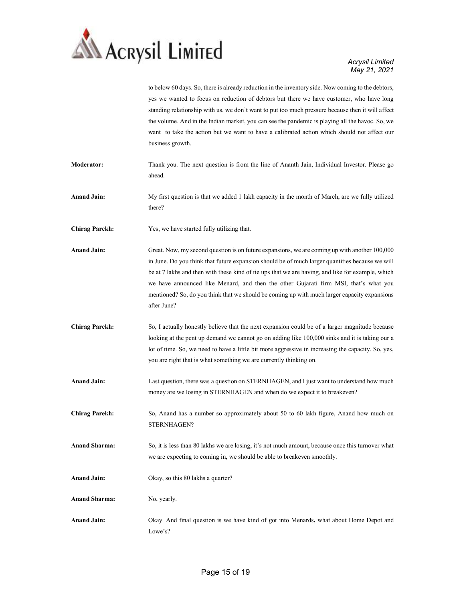

|                       | to below 60 days. So, there is already reduction in the inventory side. Now coming to the debtors,<br>yes we wanted to focus on reduction of debtors but there we have customer, who have long<br>standing relationship with us, we don't want to put too much pressure because then it will affect<br>the volume. And in the Indian market, you can see the pandemic is playing all the havoc. So, we<br>want to take the action but we want to have a calibrated action which should not affect our<br>business growth. |
|-----------------------|---------------------------------------------------------------------------------------------------------------------------------------------------------------------------------------------------------------------------------------------------------------------------------------------------------------------------------------------------------------------------------------------------------------------------------------------------------------------------------------------------------------------------|
| Moderator:            | Thank you. The next question is from the line of Ananth Jain, Individual Investor. Please go<br>ahead.                                                                                                                                                                                                                                                                                                                                                                                                                    |
| <b>Anand Jain:</b>    | My first question is that we added 1 lakh capacity in the month of March, are we fully utilized<br>there?                                                                                                                                                                                                                                                                                                                                                                                                                 |
| <b>Chirag Parekh:</b> | Yes, we have started fully utilizing that.                                                                                                                                                                                                                                                                                                                                                                                                                                                                                |
| <b>Anand Jain:</b>    | Great. Now, my second question is on future expansions, we are coming up with another 100,000<br>in June. Do you think that future expansion should be of much larger quantities because we will<br>be at 7 lakhs and then with these kind of tie ups that we are having, and like for example, which<br>we have announced like Menard, and then the other Gujarati firm MSI, that's what you<br>mentioned? So, do you think that we should be coming up with much larger capacity expansions<br>after June?              |
| <b>Chirag Parekh:</b> | So, I actually honestly believe that the next expansion could be of a larger magnitude because<br>looking at the pent up demand we cannot go on adding like 100,000 sinks and it is taking our a<br>lot of time. So, we need to have a little bit more aggressive in increasing the capacity. So, yes,<br>you are right that is what something we are currently thinking on.                                                                                                                                              |
| <b>Anand Jain:</b>    | Last question, there was a question on STERNHAGEN, and I just want to understand how much<br>money are we losing in STERNHAGEN and when do we expect it to breakeven?                                                                                                                                                                                                                                                                                                                                                     |
| <b>Chirag Parekh:</b> | So, Anand has a number so approximately about 50 to 60 lakh figure, Anand how much on<br>STERNHAGEN?                                                                                                                                                                                                                                                                                                                                                                                                                      |
| <b>Anand Sharma:</b>  | So, it is less than 80 lakhs we are losing, it's not much amount, because once this turnover what<br>we are expecting to coming in, we should be able to breakeven smoothly.                                                                                                                                                                                                                                                                                                                                              |
| <b>Anand Jain:</b>    | Okay, so this 80 lakhs a quarter?                                                                                                                                                                                                                                                                                                                                                                                                                                                                                         |
| <b>Anand Sharma:</b>  | No, yearly.                                                                                                                                                                                                                                                                                                                                                                                                                                                                                                               |
| <b>Anand Jain:</b>    | Okay. And final question is we have kind of got into Menards, what about Home Depot and<br>Lowe's?                                                                                                                                                                                                                                                                                                                                                                                                                        |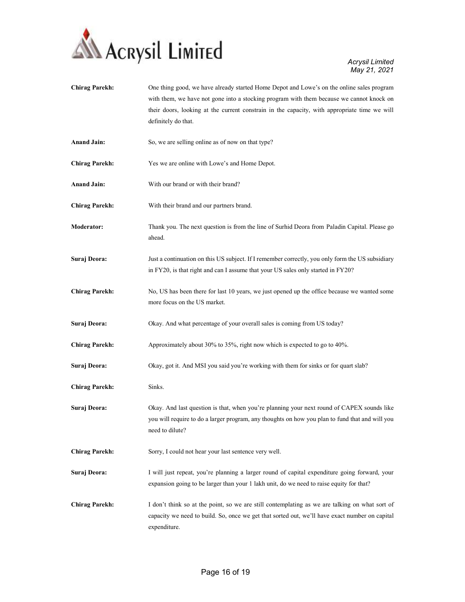

| <b>Chirag Parekh:</b> | One thing good, we have already started Home Depot and Lowe's on the online sales program<br>with them, we have not gone into a stocking program with them because we cannot knock on<br>their doors, looking at the current constrain in the capacity, with appropriate time we will<br>definitely do that. |
|-----------------------|--------------------------------------------------------------------------------------------------------------------------------------------------------------------------------------------------------------------------------------------------------------------------------------------------------------|
| <b>Anand Jain:</b>    | So, we are selling online as of now on that type?                                                                                                                                                                                                                                                            |
| <b>Chirag Parekh:</b> | Yes we are online with Lowe's and Home Depot.                                                                                                                                                                                                                                                                |
| <b>Anand Jain:</b>    | With our brand or with their brand?                                                                                                                                                                                                                                                                          |
| <b>Chirag Parekh:</b> | With their brand and our partners brand.                                                                                                                                                                                                                                                                     |
| <b>Moderator:</b>     | Thank you. The next question is from the line of Surhid Deora from Paladin Capital. Please go<br>ahead.                                                                                                                                                                                                      |
| Suraj Deora:          | Just a continuation on this US subject. If I remember correctly, you only form the US subsidiary<br>in FY20, is that right and can I assume that your US sales only started in FY20?                                                                                                                         |
| <b>Chirag Parekh:</b> | No, US has been there for last 10 years, we just opened up the office because we wanted some<br>more focus on the US market.                                                                                                                                                                                 |
| Suraj Deora:          | Okay. And what percentage of your overall sales is coming from US today?                                                                                                                                                                                                                                     |
| <b>Chirag Parekh:</b> | Approximately about 30% to 35%, right now which is expected to go to 40%.                                                                                                                                                                                                                                    |
| Suraj Deora:          | Okay, got it. And MSI you said you're working with them for sinks or for quart slab?                                                                                                                                                                                                                         |
| <b>Chirag Parekh:</b> | Sinks.                                                                                                                                                                                                                                                                                                       |
| Suraj Deora:          | Okay. And last question is that, when you're planning your next round of CAPEX sounds like<br>you will require to do a larger program, any thoughts on how you plan to fund that and will you<br>need to dilute?                                                                                             |
| <b>Chirag Parekh:</b> | Sorry, I could not hear your last sentence very well.                                                                                                                                                                                                                                                        |
| Suraj Deora:          | I will just repeat, you're planning a larger round of capital expenditure going forward, your<br>expansion going to be larger than your 1 lakh unit, do we need to raise equity for that?                                                                                                                    |
| <b>Chirag Parekh:</b> | I don't think so at the point, so we are still contemplating as we are talking on what sort of<br>capacity we need to build. So, once we get that sorted out, we'll have exact number on capital<br>expenditure.                                                                                             |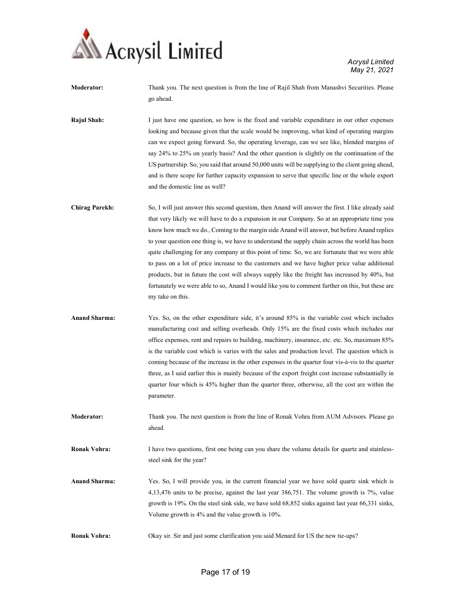

Moderator: Thank you. The next question is from the line of Rajil Shah from Manashvi Securities. Please go ahead.

Rajul Shah: I just have one question, so how is the fixed and variable expenditure in our other expenses looking and because given that the scale would be improving, what kind of operating margins can we expect going forward. So, the operating leverage, can we see like, blended margins of say 24% to 25% on yearly basis? And the other question is slightly on the continuation of the US partnership. So, you said that around 50,000 units will be supplying to the client going ahead, and is there scope for further capacity expansion to serve that specific line or the whole export and the domestic line as well?

- Chirag Parekh: So, I will just answer this second question, then Anand will answer the first. I like already said that very likely we will have to do a expansion in our Company. So at an appropriate time you know how much we do., Coming to the margin side Anand will answer, but before Anand replies to your question one thing is, we have to understand the supply chain across the world has been quite challenging for any company at this point of time. So, we are fortunate that we were able to pass on a lot of price increase to the customers and we have higher price value additional products, but in future the cost will always supply like the freight has increased by 40%, but fortunately we were able to so, Anand I would like you to comment further on this, but these are my take on this.
- Anand Sharma: Yes. So, on the other expenditure side, it's around 85% is the variable cost which includes manufacturing cost and selling overheads. Only 15% are the fixed costs which includes our office expenses, rent and repairs to building, machinery, insurance, etc. etc. So, maximum 85% is the variable cost which is varies with the sales and production level. The question which is coming because of the increase in the other expenses in the quarter four vis-à-vis to the quarter three, as I said earlier this is mainly because of the export freight cost increase substantially in quarter four which is 45% higher than the quarter three, otherwise, all the cost are within the parameter.
- Moderator: Thank you. The next question is from the line of Ronak Vohra from AUM Advisors. Please go ahead.

Ronak Vohra: I have two questions, first one being can you share the volume details for quartz and stainlesssteel sink for the year?

- Anand Sharma: Yes. So, I will provide you, in the current financial year we have sold quartz sink which is 4,13,476 units to be precise, against the last year 386,751. The volume growth is 7%, value growth is 19%. On the steel sink side, we have sold 68,852 sinks against last year 66,331 sinks, Volume growth is 4% and the value growth is 10%.
- Ronak Vohra: Okay sir. Sir and just some clarification you said Menard for US the new tie-ups?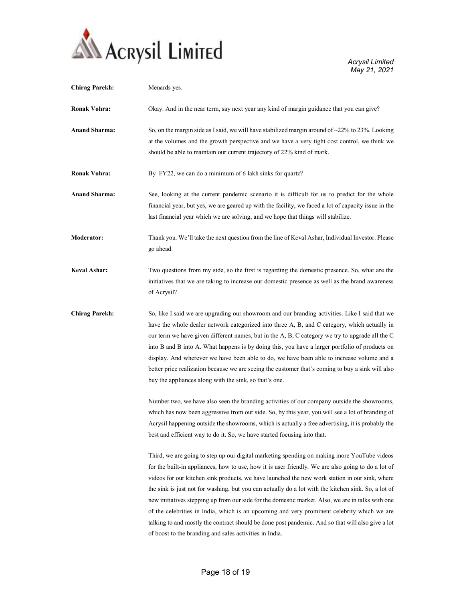

| <b>Chirag Parekh:</b> | Menards yes.                                                                                                                                                                                                                                                                                                                                                                                                                                                                                                                                                                                                                                                                                                                                                                   |
|-----------------------|--------------------------------------------------------------------------------------------------------------------------------------------------------------------------------------------------------------------------------------------------------------------------------------------------------------------------------------------------------------------------------------------------------------------------------------------------------------------------------------------------------------------------------------------------------------------------------------------------------------------------------------------------------------------------------------------------------------------------------------------------------------------------------|
| Ronak Vohra:          | Okay. And in the near term, say next year any kind of margin guidance that you can give?                                                                                                                                                                                                                                                                                                                                                                                                                                                                                                                                                                                                                                                                                       |
| <b>Anand Sharma:</b>  | So, on the margin side as I said, we will have stabilized margin around of $\sim$ 22% to 23%. Looking<br>at the volumes and the growth perspective and we have a very tight cost control, we think we<br>should be able to maintain our current trajectory of 22% kind of mark.                                                                                                                                                                                                                                                                                                                                                                                                                                                                                                |
| <b>Ronak Vohra:</b>   | By FY22, we can do a minimum of 6 lakh sinks for quartz?                                                                                                                                                                                                                                                                                                                                                                                                                                                                                                                                                                                                                                                                                                                       |
| <b>Anand Sharma:</b>  | See, looking at the current pandemic scenario it is difficult for us to predict for the whole<br>financial year, but yes, we are geared up with the facility, we faced a lot of capacity issue in the<br>last financial year which we are solving, and we hope that things will stabilize.                                                                                                                                                                                                                                                                                                                                                                                                                                                                                     |
| <b>Moderator:</b>     | Thank you. We'll take the next question from the line of Keval Ashar, Individual Investor. Please<br>go ahead.                                                                                                                                                                                                                                                                                                                                                                                                                                                                                                                                                                                                                                                                 |
| <b>Keval Ashar:</b>   | Two questions from my side, so the first is regarding the domestic presence. So, what are the<br>initiatives that we are taking to increase our domestic presence as well as the brand awareness<br>of Acrysil?                                                                                                                                                                                                                                                                                                                                                                                                                                                                                                                                                                |
| <b>Chirag Parekh:</b> | So, like I said we are upgrading our showroom and our branding activities. Like I said that we<br>have the whole dealer network categorized into three A, B, and C category, which actually in<br>our term we have given different names, but in the A, B, C category we try to upgrade all the C<br>into B and B into A. What happens is by doing this, you have a larger portfolio of products on<br>display. And wherever we have been able to do, we have been able to increase volume and a<br>better price realization because we are seeing the customer that's coming to buy a sink will also<br>buy the appliances along with the sink, so that's one.                                                                                                                |
|                       | Number two, we have also seen the branding activities of our company outside the showrooms,<br>which has now been aggressive from our side. So, by this year, you will see a lot of branding of<br>Acrysil happening outside the showrooms, which is actually a free advertising, it is probably the<br>best and efficient way to do it. So, we have started focusing into that.                                                                                                                                                                                                                                                                                                                                                                                               |
|                       | Third, we are going to step up our digital marketing spending on making more YouTube videos<br>for the built-in appliances, how to use, how it is user friendly. We are also going to do a lot of<br>videos for our kitchen sink products, we have launched the new work station in our sink, where<br>the sink is just not for washing, but you can actually do a lot with the kitchen sink. So, a lot of<br>new initiatives stepping up from our side for the domestic market. Also, we are in talks with one<br>of the celebrities in India, which is an upcoming and very prominent celebrity which we are<br>talking to and mostly the contract should be done post pandemic. And so that will also give a lot<br>of boost to the branding and sales activities in India. |